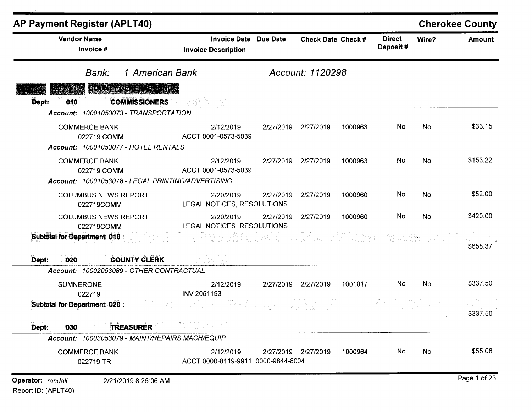| <b>AP Payment Register (APLT40)</b>                                                      |                                                   |                 |                     |         |                           |           | <b>Cherokee County</b> |
|------------------------------------------------------------------------------------------|---------------------------------------------------|-----------------|---------------------|---------|---------------------------|-----------|------------------------|
| <b>Vendor Name</b><br>Invoice #                                                          | <b>Invoice Date</b><br><b>Invoice Description</b> | <b>Due Date</b> | Check Date Check #  |         | <b>Direct</b><br>Deposit# | Wire?     | <b>Amount</b>          |
| 1 American Bank<br>Bank:                                                                 |                                                   |                 | Account: 1120298    |         |                           |           |                        |
| ROUGARDENEMENT                                                                           |                                                   |                 |                     |         |                           |           |                        |
| <b>COMMISSIONERS</b><br>Dept:<br>010<br>Account: 10001053073 - TRANSPORTATION            |                                                   |                 |                     |         |                           |           |                        |
| <b>COMMERCE BANK</b><br>022719 COMM<br>Account: 10001053077 - HOTEL RENTALS              | 2/12/2019<br>ACCT 0001-0573-5039                  | 2/27/2019       | 2/27/2019           | 1000963 | No                        | <b>No</b> | \$33.15                |
| <b>COMMERCE BANK</b><br>022719 COMM<br>Account: 10001053078 - LEGAL PRINTING/ADVERTISING | 2/12/2019<br>ACCT 0001-0573-5039                  | 2/27/2019       | 2/27/2019           | 1000963 | No                        | <b>No</b> | \$153.22               |
| <b>COLUMBUS NEWS REPORT</b><br>022719COMM                                                | 2/20/2019<br>LEGAL NOTICES, RESOLUTIONS           | 2/27/2019       | 2/27/2019           | 1000960 | No                        | No        | \$52.00                |
| <b>COLUMBUS NEWS REPORT</b><br>022719COMM                                                | 2/20/2019<br>LEGAL NOTICES, RESOLUTIONS           | 2/27/2019       | 2/27/2019           | 1000960 | No                        | <b>No</b> | \$420.00               |
| Subtotal for Department: 010 :                                                           |                                                   |                 |                     |         |                           |           | \$658.37               |
| <b>COUNTY CLERK</b><br>Dept:<br>020                                                      |                                                   |                 |                     |         |                           |           |                        |
| Account: 10002053089 - OTHER CONTRACTUAL<br><b>SUMNERONE</b><br>022719                   | 2/12/2019<br>INV 2051193                          | 2/27/2019       | 2/27/2019           | 1001017 | No                        | <b>No</b> | \$337.50               |
| Subtotal for Department: 020 :                                                           |                                                   |                 |                     |         |                           |           | \$337.50               |
| <b>TREASURER</b><br>Dept:<br>030                                                         |                                                   |                 |                     |         |                           |           |                        |
| Account: 10003053079 - MAINT/REPAIRS MACH/EQUIP                                          |                                                   |                 |                     |         |                           |           |                        |
| <b>COMMERCE BANK</b><br>022719 TR                                                        | 2/12/2019<br>ACCT 0000-8119-9911, 0000-9844-8004  |                 | 2/27/2019 2/27/2019 | 1000964 | No                        | No        | \$55.08                |
| Operator: randall<br>2/21/2019 8:25:06 AM                                                |                                                   |                 |                     |         |                           |           | Page 1 of 23           |

Report ID: (APLT40)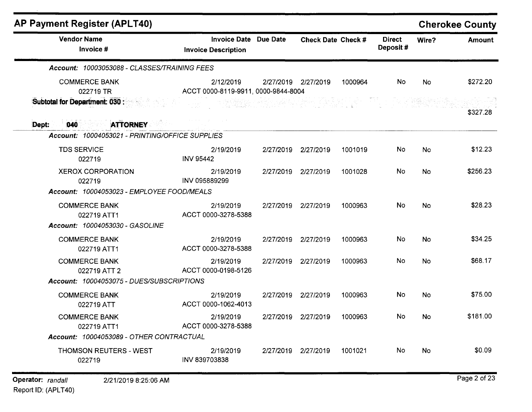| <b>AP Payment Register (APLT40)</b>                                    |                                                            |                     |                             |         |                           |           | <b>Cherokee County</b> |
|------------------------------------------------------------------------|------------------------------------------------------------|---------------------|-----------------------------|---------|---------------------------|-----------|------------------------|
| <b>Vendor Name</b><br>Invoice #                                        | <b>Invoice Date Due Date</b><br><b>Invoice Description</b> |                     | Check Date Check #          |         | <b>Direct</b><br>Deposit# | Wire?     | Amount                 |
| Account: 10003053088 - CLASSES/TRAINING FEES                           |                                                            |                     |                             |         |                           |           |                        |
| <b>COMMERCE BANK</b><br>022719 TR                                      | 2/12/2019<br>ACCT 0000-8119-9911, 0000-9844-8004           | 2/27/2019 2/27/2019 |                             | 1000964 | No                        | No        | \$272.20               |
| Subtotal for Department: 030 :                                         |                                                            |                     | rufikur (francouzh-1940) eo |         |                           |           | \$327.28               |
| <b>ATTORNEY</b><br>Dept:<br>$ 040\rangle$                              |                                                            |                     |                             |         |                           |           |                        |
| Account: 10004053021 - PRINTING/OFFICE SUPPLIES                        |                                                            |                     |                             |         |                           |           |                        |
| <b>TDS SERVICE</b><br>022719                                           | 2/19/2019<br><b>INV 95442</b>                              | 2/27/2019           | 2/27/2019                   | 1001019 | <b>No</b>                 | No        | \$12.23                |
| <b>XEROX CORPORATION</b><br>022719                                     | 2/19/2019<br>INV 095889299                                 | 2/27/2019 2/27/2019 |                             | 1001028 | No                        | No        | \$256.23               |
| Account: 10004053023 - EMPLOYEE FOOD/MEALS                             |                                                            |                     |                             |         |                           |           |                        |
| <b>COMMERCE BANK</b><br>022719 ATT1<br>Account: 10004053030 - GASOLINE | 2/19/2019<br>ACCT 0000-3278-5388                           | 2/27/2019           | 2/27/2019                   | 1000963 | <b>No</b>                 | <b>No</b> | \$28.23                |
| <b>COMMERCE BANK</b><br>022719 ATT1                                    | 2/19/2019<br>ACCT 0000-3278-5388                           | 2/27/2019           | 2/27/2019                   | 1000963 | <b>No</b>                 | <b>No</b> | \$34.25                |
| <b>COMMERCE BANK</b><br>022719 ATT 2                                   | 2/19/2019<br>ACCT 0000-0198-5126                           | 2/27/2019           | 2/27/2019                   | 1000963 | No                        | <b>No</b> | \$68.17                |
| Account: 10004053075 - DUES/SUBSCRIPTIONS                              |                                                            |                     |                             |         |                           |           |                        |
| <b>COMMERCE BANK</b><br>022719 ATT                                     | 2/19/2019<br>ACCT 0000-1062-4013                           | 2/27/2019           | 2/27/2019                   | 1000963 | No.                       | <b>No</b> | \$75.00                |
| <b>COMMERCE BANK</b><br>022719 ATT1                                    | 2/19/2019<br>ACCT 0000-3278-5388                           |                     | 2/27/2019 2/27/2019         | 1000963 | No.                       | No.       | \$181.00               |
| Account: 10004053089 - OTHER CONTRACTUAL                               |                                                            |                     |                             |         |                           |           |                        |
| THOMSON REUTERS - WEST<br>022719                                       | 2/19/2019<br>INV 839703838                                 |                     | 2/27/2019 2/27/2019         | 1001021 | No.                       | No        | \$0.09                 |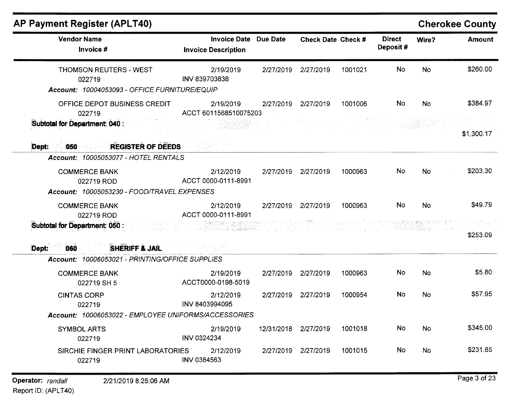| <b>Vendor Name</b>                                                                       | <b>Invoice Date</b>                | Due Date   | Check Date Check #  |         | <b>Direct</b> | Wire? | <b>Amount</b> |
|------------------------------------------------------------------------------------------|------------------------------------|------------|---------------------|---------|---------------|-------|---------------|
| Invoice #                                                                                | <b>Invoice Description</b>         |            |                     |         | Deposit#      |       |               |
| <b>THOMSON REUTERS - WEST</b><br>022719<br>Account: 10004053093 - OFFICE FURNITURE/EQUIP | 2/19/2019<br>INV 839703838         | 2/27/2019  | 2/27/2019           | 1001021 | <b>No</b>     | No    | \$260.00      |
| OFFICE DEPOT BUSINESS CREDIT<br>022719                                                   | 2/19/2019<br>ACCT 6011568510075203 |            | 2/27/2019 2/27/2019 | 1001006 | No.           | No.   | \$384.97      |
| Subtotal for Department: 040 :                                                           |                                    |            |                     |         |               |       | \$1,300.17    |
| <b>REGISTER OF DEEDS</b><br>Dept:<br>050<br>Account: 10005053077 - HOTEL RENTALS         |                                    |            |                     |         |               |       |               |
| <b>COMMERCE BANK</b><br>022719 ROD<br>Account: 10005053230 - FOOD/TRAVEL EXPENSES        | 2/12/2019<br>ACCT 0000-0111-8991   | 2/27/2019  | 2/27/2019           | 1000963 | No.           | No    | \$203.30      |
| <b>COMMERCE BANK</b><br>022719 ROD                                                       | 2/12/2019<br>ACCT 0000-0111-8991   |            | 2/27/2019 2/27/2019 | 1000963 | No            | No    | \$49.79       |
| Subtotal for Department: 050 :                                                           |                                    |            |                     |         |               |       | \$253.09      |
| Dept:<br><b>SHERIFF &amp; JAIL</b><br>060                                                |                                    |            |                     |         |               |       |               |
| Account: 10006053021 - PRINTING/OFFICE SUPPLIES                                          |                                    |            |                     |         |               |       |               |
| <b>COMMERCE BANK</b><br>022719 SH 5                                                      | 2/19/2019<br>ACCT0000-0198-5019    | 2/27/2019  | 2/27/2019           | 1000963 | No.           | No    | \$5.80        |
| <b>CINTAS CORP</b>                                                                       | 2/12/2019<br>INV 8403994095        |            | 2/27/2019 2/27/2019 | 1000954 | <b>No</b>     | No    | \$57.95       |
| 022719                                                                                   |                                    |            |                     |         |               |       |               |
| Account: 10006053022 - EMPLOYEE UNIFORMS/ACCESSORIES                                     |                                    |            |                     |         |               |       |               |
| <b>SYMBOL ARTS</b><br>022719                                                             | 2/19/2019<br>INV 0324234           | 12/31/2018 | 2/27/2019           | 1001018 | No.           | No.   | \$345.00      |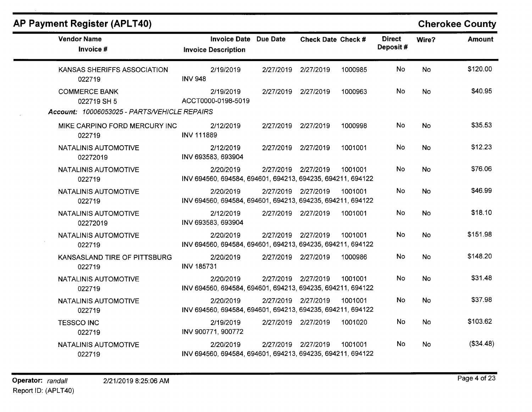| <b>Vendor Name</b><br>Invoice #                                                     | Invoice Date Due Date<br><b>Invoice Description</b>                     |                     | Check Date Check # |         | <b>Direct</b><br>Deposit# | Wire?     | <b>Amount</b> |
|-------------------------------------------------------------------------------------|-------------------------------------------------------------------------|---------------------|--------------------|---------|---------------------------|-----------|---------------|
| KANSAS SHERIFFS ASSOCIATION<br>022719                                               | 2/19/2019<br><b>INV 948</b>                                             | 2/27/2019           | 2/27/2019          | 1000985 | <b>No</b>                 | <b>No</b> | \$120.00      |
| <b>COMMERCE BANK</b><br>022719 SH 5<br>Account: 10006053025 - PARTS/VEHICLE REPAIRS | 2/19/2019<br>ACCT0000-0198-5019                                         | 2/27/2019 2/27/2019 |                    | 1000963 | No                        | <b>No</b> | \$40.95       |
| MIKE CARPINO FORD MERCURY INC<br>022719                                             | 2/12/2019<br><b>INV 111889</b>                                          | 2/27/2019 2/27/2019 |                    | 1000998 | No                        | <b>No</b> | \$35.53       |
| NATALINIS AUTOMOTIVE<br>02272019                                                    | 2/12/2019<br>INV 693583, 693904                                         | 2/27/2019 2/27/2019 |                    | 1001001 | No.                       | <b>No</b> | \$12.23       |
| NATALINIS AUTOMOTIVE<br>022719                                                      | 2/20/2019<br>INV 694560, 694584, 694601, 694213, 694235, 694211, 694122 | 2/27/2019 2/27/2019 |                    | 1001001 | No.                       | No.       | \$76.06       |
| <b>NATALINIS AUTOMOTIVE</b><br>022719                                               | 2/20/2019<br>INV 694560, 694584, 694601, 694213, 694235, 694211, 694122 | 2/27/2019 2/27/2019 |                    | 1001001 | No                        | No        | \$46.99       |
| <b>NATALINIS AUTOMOTIVE</b><br>02272019                                             | 2/12/2019<br>INV 693583, 693904                                         | 2/27/2019 2/27/2019 |                    | 1001001 | <b>No</b>                 | <b>No</b> | \$18.10       |
| NATALINIS AUTOMOTIVE<br>022719                                                      | 2/20/2019<br>INV 694560, 694584, 694601, 694213, 694235, 694211, 694122 | 2/27/2019 2/27/2019 |                    | 1001001 | <b>No</b>                 | <b>No</b> | \$151.98      |
| KANSASLAND TIRE OF PITTSBURG<br>022719                                              | 2/20/2019<br><b>INV 185731</b>                                          | 2/27/2019 2/27/2019 |                    | 1000986 | No                        | <b>No</b> | \$148.20      |
| NATALINIS AUTOMOTIVE<br>022719                                                      | 2/20/2019<br>INV 694560, 694584, 694601, 694213, 694235, 694211, 694122 | 2/27/2019 2/27/2019 |                    | 1001001 | No                        | <b>No</b> | \$31.48       |
| NATALINIS AUTOMOTIVE<br>022719                                                      | 2/20/2019<br>INV 694560, 694584, 694601, 694213, 694235, 694211, 694122 | 2/27/2019 2/27/2019 |                    | 1001001 | No.                       | <b>No</b> | \$37.98       |
| <b>TESSCO INC</b><br>022719                                                         | 2/19/2019<br>INV 900771, 900772                                         | 2/27/2019 2/27/2019 |                    | 1001020 | No                        | <b>No</b> | \$103.62      |
| NATALINIS AUTOMOTIVE<br>022719                                                      | 2/20/2019<br>INV 694560, 694584, 694601, 694213, 694235, 694211, 694122 | 2/27/2019           | 2/27/2019          | 1001001 | No.                       | No.       | (\$34.48)     |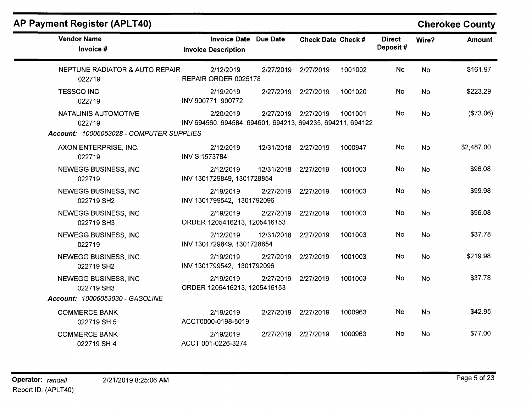## **AP Payment Register (APLT40)**

## **Cherokee County**

| <b>Vendor Name</b><br>Invoice #                                            | <b>Invoice Date Due Date</b><br><b>Invoice Description</b>              |                      | Check Date Check # |         | <b>Direct</b><br>Deposit# | Wire?     | <b>Amount</b> |
|----------------------------------------------------------------------------|-------------------------------------------------------------------------|----------------------|--------------------|---------|---------------------------|-----------|---------------|
| NEPTUNE RADIATOR & AUTO REPAIR<br>022719                                   | 2/12/2019<br>REPAIR ORDER 0025178                                       | 2/27/2019            | 2/27/2019          | 1001002 | <b>No</b>                 | <b>No</b> | \$161.97      |
| <b>TESSCO INC</b><br>022719                                                | 2/19/2019<br>INV 900771, 900772                                         | 2/27/2019 2/27/2019  |                    | 1001020 | No                        | <b>No</b> | \$223.29      |
| NATALINIS AUTOMOTIVE<br>022719<br>Account: 10006053028 - COMPUTER SUPPLIES | 2/20/2019<br>INV 694560, 694584, 694601, 694213, 694235, 694211, 694122 | 2/27/2019 2/27/2019  |                    | 1001001 | No                        | <b>No</b> | (\$73.06)     |
| AXON ENTERPRISE, INC.<br>022719                                            | 2/12/2019<br><b>INV SI1573784</b>                                       | 12/31/2018 2/27/2019 |                    | 1000947 | No                        | <b>No</b> | \$2,487.00    |
| <b>NEWEGG BUSINESS, INC</b><br>022719                                      | 2/12/2019<br>INV 1301729849, 1301728854                                 | 12/31/2018           | 2/27/2019          | 1001003 | No                        | <b>No</b> | \$96.08       |
| NEWEGG BUSINESS, INC<br>022719 SH2                                         | 2/19/2019<br>INV 1301799542, 1301792096                                 | 2/27/2019            | 2/27/2019          | 1001003 | No                        | <b>No</b> | \$99.98       |
| <b>NEWEGG BUSINESS, INC</b><br>022719 SH3                                  | 2/19/2019<br>ORDER 1205416213, 1205416153                               | 2/27/2019 2/27/2019  |                    | 1001003 | No                        | <b>No</b> | \$96.08       |
| <b>NEWEGG BUSINESS, INC.</b><br>022719                                     | 2/12/2019<br>INV 1301729849, 1301728854                                 | 12/31/2018           | 2/27/2019          | 1001003 | No                        | <b>No</b> | \$37.78       |
| <b>NEWEGG BUSINESS, INC</b><br>022719 SH2                                  | 2/19/2019<br>INV 1301799542, 1301792096                                 | 2/27/2019            | 2/27/2019          | 1001003 | No                        | <b>No</b> | \$219.98      |
| NEWEGG BUSINESS, INC<br>022719 SH3<br>Account: 10006053030 - GASOLINE      | 2/19/2019<br>ORDER 1205416213, 1205416153                               | 2/27/2019            | 2/27/2019          | 1001003 | No                        | <b>No</b> | \$37.78       |
| <b>COMMERCE BANK</b><br>022719 SH 5                                        | 2/19/2019<br>ACCT0000-0198-5019                                         | 2/27/2019 2/27/2019  |                    | 1000963 | <b>No</b>                 | <b>No</b> | \$42.95       |
| <b>COMMERCE BANK</b><br>022719 SH 4                                        | 2/19/2019<br>ACCT 001-0226-3274                                         | 2/27/2019            | 2/27/2019          | 1000963 | No                        | <b>No</b> | \$77.00       |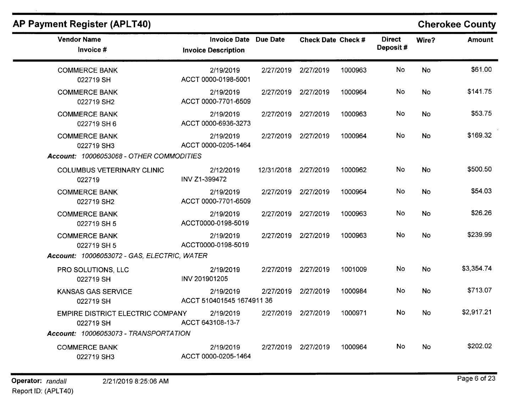| <b>Vendor Name</b><br>Invoice #                                                    | <b>Invoice Date Due Date</b><br><b>Invoice Description</b> |                      | Check Date Check #  |         | <b>Direct</b><br>Deposit# | Wire?     | <b>Amount</b> |
|------------------------------------------------------------------------------------|------------------------------------------------------------|----------------------|---------------------|---------|---------------------------|-----------|---------------|
| <b>COMMERCE BANK</b><br>022719 SH                                                  | 2/19/2019<br>ACCT 0000-0198-5001                           |                      | 2/27/2019 2/27/2019 | 1000963 | <b>No</b>                 | <b>No</b> | \$61.00       |
| <b>COMMERCE BANK</b><br>022719 SH2                                                 | 2/19/2019<br>ACCT 0000-7701-6509                           |                      | 2/27/2019 2/27/2019 | 1000964 | No.                       | <b>No</b> | \$141.75      |
| <b>COMMERCE BANK</b><br>022719 SH 6                                                | 2/19/2019<br>ACCT 0000-6936-3273                           |                      | 2/27/2019 2/27/2019 | 1000963 | No                        | No        | \$53.75       |
| <b>COMMERCE BANK</b><br>022719 SH3<br>Account: 10006053068 - OTHER COMMODITIES     | 2/19/2019<br>ACCT 0000-0205-1464                           |                      | 2/27/2019 2/27/2019 | 1000964 | No                        | <b>No</b> | \$169.32      |
| <b>COLUMBUS VETERINARY CLINIC</b><br>022719                                        | 2/12/2019<br>INV Z1-399472                                 | 12/31/2018 2/27/2019 |                     | 1000962 | No                        | No        | \$500.50      |
| <b>COMMERCE BANK</b><br>022719 SH2                                                 | 2/19/2019<br>ACCT 0000-7701-6509                           | 2/27/2019            | 2/27/2019           | 1000964 | No                        | No        | \$54.03       |
| <b>COMMERCE BANK</b><br>022719 SH 5                                                | 2/19/2019<br>ACCT0000-0198-5019                            | 2/27/2019            | 2/27/2019           | 1000963 | No                        | No        | \$26.26       |
| <b>COMMERCE BANK</b><br>022719 SH 5<br>Account: 10006053072 - GAS, ELECTRIC, WATER | 2/19/2019<br>ACCT0000-0198-5019                            | 2/27/2019            | 2/27/2019           | 1000963 | No                        | No        | \$239.99      |
| PRO SOLUTIONS, LLC<br>022719 SH                                                    | 2/19/2019<br>INV 201901205                                 | 2/27/2019            | 2/27/2019           | 1001009 | No                        | <b>No</b> | \$3,354.74    |
| <b>KANSAS GAS SERVICE</b><br>022719 SH                                             | 2/19/2019<br>ACCT 510401545 1674911 36                     | 2/27/2019            | 2/27/2019           | 1000984 | No                        | <b>No</b> | \$713.07      |
| <b>EMPIRE DISTRICT ELECTRIC COMPANY</b><br>022719 SH                               | 2/19/2019<br>ACCT 643108-13-7                              | 2/27/2019            | 2/27/2019           | 1000971 | <b>No</b>                 | <b>No</b> | \$2,917.21    |
| Account: 10006053073 - TRANSPORTATION<br><b>COMMERCE BANK</b><br>022719 SH3        | 2/19/2019<br>ACCT 0000-0205-1464                           | 2/27/2019            | 2/27/2019           | 1000964 | No.                       | <b>No</b> | \$202.02      |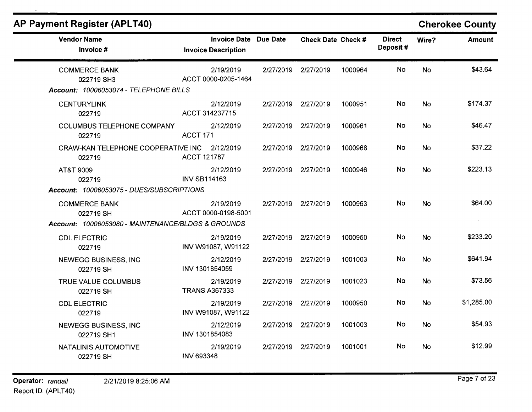| $\alpha$                                               |                                                            |                           |         |                           |           | <b>ONGIORGE OUGHLY</b> |
|--------------------------------------------------------|------------------------------------------------------------|---------------------------|---------|---------------------------|-----------|------------------------|
| <b>Vendor Name</b><br>Invoice #                        | <b>Invoice Date Due Date</b><br><b>Invoice Description</b> | <b>Check Date Check #</b> |         | <b>Direct</b><br>Deposit# | Wire?     | <b>Amount</b>          |
| <b>COMMERCE BANK</b><br>022719 SH3                     | 2/19/2019<br>ACCT 0000-0205-1464                           | 2/27/2019 2/27/2019       | 1000964 | No.                       | <b>No</b> | \$43.64                |
| Account: 10006053074 - TELEPHONE BILLS                 |                                                            |                           |         |                           |           |                        |
| <b>CENTURYLINK</b><br>022719                           | 2/12/2019<br>ACCT 314237715                                | 2/27/2019 2/27/2019       | 1000951 | No                        | <b>No</b> | \$174.37               |
| <b>COLUMBUS TELEPHONE COMPANY</b><br>022719            | 2/12/2019<br>ACCT 171                                      | 2/27/2019 2/27/2019       | 1000961 | No                        | No        | \$46.47                |
| CRAW-KAN TELEPHONE COOPERATIVE INC 2/12/2019<br>022719 | ACCT 121787                                                | 2/27/2019 2/27/2019       | 1000968 | No                        | <b>No</b> | \$37.22                |
| AT&T 9009<br>022719                                    | 2/12/2019<br><b>INV SB114163</b>                           | 2/27/2019 2/27/2019       | 1000946 | No                        | No        | \$223.13               |
| Account: 10006053075 - DUES/SUBSCRIPTIONS              |                                                            |                           |         |                           |           |                        |
| <b>COMMERCE BANK</b><br>022719 SH                      | 2/19/2019<br>ACCT 0000-0198-5001                           | 2/27/2019 2/27/2019       | 1000963 | <b>No</b>                 | <b>No</b> | \$64.00                |
| Account: 10006053080 - MAINTENANCE/BLDGS & GROUNDS     |                                                            |                           |         |                           |           | $\sim$                 |
| <b>CDL ELECTRIC</b><br>022719                          | 2/19/2019<br>INV W91087, W91122                            | 2/27/2019 2/27/2019       | 1000950 | No                        | <b>No</b> | \$233.20               |
| NEWEGG BUSINESS, INC<br>022719 SH                      | 2/12/2019<br>INV 1301854059                                | 2/27/2019 2/27/2019       | 1001003 | No                        | <b>No</b> | \$641.94               |
| TRUE VALUE COLUMBUS<br>022719 SH                       | 2/19/2019<br><b>TRANS A367333</b>                          | 2/27/2019 2/27/2019       | 1001023 | No                        | No        | \$73.56                |
| <b>CDL ELECTRIC</b><br>022719                          | 2/19/2019<br>INV W91087, W91122                            | 2/27/2019 2/27/2019       | 1000950 | No                        | No.       | \$1,285.00             |
| <b>NEWEGG BUSINESS, INC</b><br>022719 SH1              | 2/12/2019<br>INV 1301854083                                | 2/27/2019 2/27/2019       | 1001003 | <b>No</b>                 | No        | \$54.93                |
| NATALINIS AUTOMOTIVE<br>022719 SH                      | 2/19/2019<br><b>INV 693348</b>                             | 2/27/2019 2/27/2019       | 1001001 | No.                       | <b>No</b> | \$12.99                |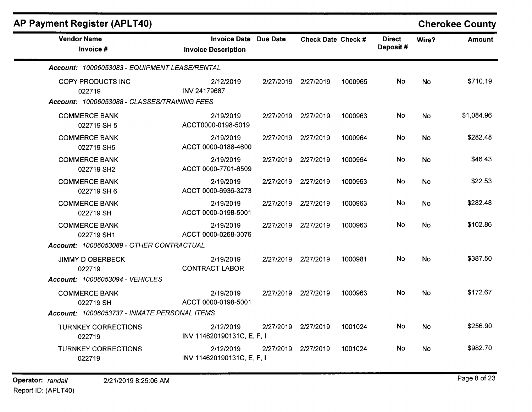| P Payment Register (APLT40)                                                 |                                                   |           |                           |         |                           |           | <b>Cherokee County</b> |
|-----------------------------------------------------------------------------|---------------------------------------------------|-----------|---------------------------|---------|---------------------------|-----------|------------------------|
| <b>Vendor Name</b><br>Invoice #                                             | <b>Invoice Date</b><br><b>Invoice Description</b> | Due Date  | <b>Check Date Check #</b> |         | <b>Direct</b><br>Deposit# | Wire?     | <b>Amount</b>          |
| Account: 10006053083 - EQUIPMENT LEASE/RENTAL                               |                                                   |           |                           |         |                           |           |                        |
| COPY PRODUCTS INC<br>022719<br>Account: 10006053088 - CLASSES/TRAINING FEES | 2/12/2019<br>INV 24179687                         | 2/27/2019 | 2/27/2019                 | 1000965 | No                        | <b>No</b> | \$710.19               |
| <b>COMMERCE BANK</b><br>022719 SH 5                                         | 2/19/2019<br>ACCT0000-0198-5019                   | 2/27/2019 | 2/27/2019                 | 1000963 | No                        | No        | \$1,084.96             |
| <b>COMMERCE BANK</b><br>022719 SH5                                          | 2/19/2019<br>ACCT 0000-0188-4600                  | 2/27/2019 | 2/27/2019                 | 1000964 | No.                       | <b>No</b> | \$282.48               |
| <b>COMMERCE BANK</b><br>022719 SH2                                          | 2/19/2019<br>ACCT 0000-7701-6509                  | 2/27/2019 | 2/27/2019                 | 1000964 | No.                       | <b>No</b> | \$46.43                |
| <b>COMMERCE BANK</b><br>022719 SH 6                                         | 2/19/2019<br>ACCT 0000-6936-3273                  | 2/27/2019 | 2/27/2019                 | 1000963 | <b>No</b>                 | <b>No</b> | \$22.53                |
| <b>COMMERCE BANK</b><br>022719 SH                                           | 2/19/2019<br>ACCT 0000-0198-5001                  |           | 2/27/2019 2/27/2019       | 1000963 | No.                       | <b>No</b> | \$282.48               |
| <b>COMMERCE BANK</b><br>022719 SH1                                          | 2/19/2019<br>ACCT 0000-0268-3076                  | 2/27/2019 | 2/27/2019                 | 1000963 | <b>No</b>                 | <b>No</b> | \$102.86               |
| Account: 10006053089 - OTHER CONTRACTUAL                                    |                                                   |           |                           |         |                           |           |                        |
| JIMMY D OBERBECK<br>022719                                                  | 2/19/2019<br><b>CONTRACT LABOR</b>                |           | 2/27/2019 2/27/2019       | 1000981 | No.                       | <b>No</b> | \$387.50               |
| Account: 10006053094 - VEHICLES<br><b>COMMERCE BANK</b><br>022719 SH        | 2/19/2019<br>ACCT 0000-0198-5001                  |           | 2/27/2019 2/27/2019       | 1000963 | No                        | No.       | \$172.67               |
| Account: 10006053737 - INMATE PERSONAL ITEMS                                |                                                   |           |                           |         |                           |           |                        |
| <b>TURNKEY CORRECTIONS</b><br>022719                                        | 2/12/2019<br>INV 114620190131C, E, F, I           | 2/27/2019 | 2/27/2019                 | 1001024 | No                        | <b>No</b> | \$256.90               |
| <b>TURNKEY CORRECTIONS</b><br>022719                                        | 2/12/2019<br>INV 114620190131C, E, F, I           |           | 2/27/2019 2/27/2019       | 1001024 | No.                       | No.       | \$982.70               |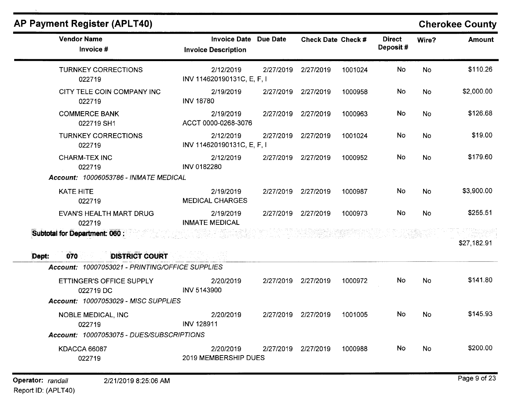| <b>Vendor Name</b><br>Invoice #                 | <b>Invoice Date Due Date</b><br><b>Invoice Description</b> |           | <b>Check Date Check #</b> |         | <b>Direct</b><br>Deposit# | Wire?     | Amount      |
|-------------------------------------------------|------------------------------------------------------------|-----------|---------------------------|---------|---------------------------|-----------|-------------|
| <b>TURNKEY CORRECTIONS</b><br>022719            | 2/12/2019<br>INV 114620190131C, E, F, I                    |           | 2/27/2019 2/27/2019       | 1001024 | No.                       | <b>No</b> | \$110.26    |
| CITY TELE COIN COMPANY INC<br>022719            | 2/19/2019<br><b>INV 18780</b>                              |           | 2/27/2019 2/27/2019       | 1000958 | <b>No</b>                 | No        | \$2,000.00  |
| <b>COMMERCE BANK</b><br>022719 SH1              | 2/19/2019<br>ACCT 0000-0268-3076                           |           | 2/27/2019 2/27/2019       | 1000963 | <b>No</b>                 | <b>No</b> | \$126.68    |
| <b>TURNKEY CORRECTIONS</b><br>022719            | 2/12/2019<br>INV 114620190131C, E, F, I                    | 2/27/2019 | 2/27/2019                 | 1001024 | No                        | <b>No</b> | \$19.00     |
| <b>CHARM-TEX INC</b><br>022719                  | 2/12/2019<br>INV 0182280                                   | 2/27/2019 | 2/27/2019                 | 1000952 | No                        | <b>No</b> | \$179.60    |
| <b>Account: 10006053786 - INMATE MEDICAL</b>    |                                                            |           |                           |         |                           |           |             |
| <b>KATE HITE</b><br>022719                      | 2/19/2019<br><b>MEDICAL CHARGES</b>                        |           | 2/27/2019 2/27/2019       | 1000987 | No                        | <b>No</b> | \$3,900.00  |
| <b>EVAN'S HEALTH MART DRUG</b><br>022719        | 2/19/2019<br><b>INMATE MEDICAL</b>                         |           | 2/27/2019 2/27/2019       | 1000973 | <b>No</b>                 | <b>No</b> | \$255.51    |
| <b>Subtotal for Department: 060 :</b>           |                                                            |           | s2 유종 546~                |         |                           |           | \$27,182.91 |
| <b>DISTRICT COURT</b><br>070<br>Dept:           |                                                            |           |                           |         |                           |           |             |
| Account: 10007053021 - PRINTING/OFFICE SUPPLIES |                                                            |           |                           |         |                           |           |             |
| ETTINGER'S OFFICE SUPPLY<br>022719 DC           | 2/20/2019<br>INV 5143900                                   |           | 2/27/2019 2/27/2019       | 1000972 | No.                       | <b>No</b> | \$141.80    |
| Account: 10007053029 - MISC SUPPLIES            |                                                            |           |                           |         |                           |           |             |
| <b>NOBLE MEDICAL, INC</b><br>022719             | 2/20/2019<br><b>INV 128911</b>                             |           | 2/27/2019 2/27/2019       | 1001005 | No.                       | No.       | \$145.93    |
| Account: 10007053075 - DUES/SUBSCRIPTIONS       |                                                            |           |                           |         |                           |           |             |
| KDACCA 66087<br>022719                          | 2/20/2019<br>2019 MEMBERSHIP DUES                          | 2/27/2019 | 2/27/2019                 | 1000988 | No.                       | <b>No</b> | \$200.00    |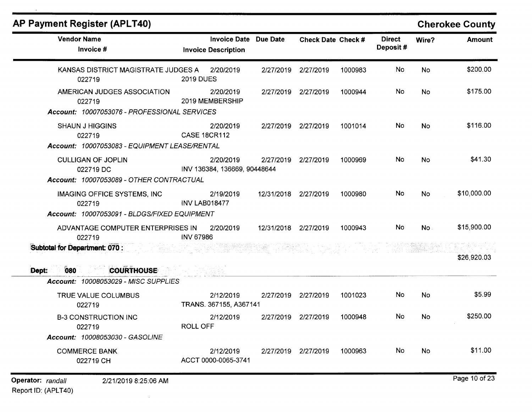| <b>Vendor Name</b>                                                                           | <b>Invoice Date</b>                       | Due Date             | <b>Check Date Check #</b> |         | <b>Direct</b> | Wire?     | <b>Amount</b> |
|----------------------------------------------------------------------------------------------|-------------------------------------------|----------------------|---------------------------|---------|---------------|-----------|---------------|
| Invoice #                                                                                    | <b>Invoice Description</b>                |                      |                           |         | Deposit#      |           |               |
| KANSAS DISTRICT MAGISTRATE JUDGES A<br>022719                                                | 2/20/2019<br><b>2019 DUES</b>             | 2/27/2019            | 2/27/2019                 | 1000983 | No            | <b>No</b> | \$200.00      |
| AMERICAN JUDGES ASSOCIATION<br>022719                                                        | 2/20/2019<br>2019 MEMBERSHIP              |                      | 2/27/2019 2/27/2019       | 1000944 | No.           | No        | \$175.00      |
| Account: 10007053076 - PROFESSIONAL SERVICES                                                 |                                           |                      |                           |         |               |           |               |
| <b>SHAUN J HIGGINS</b><br>022719<br>Account: 10007053083 - EQUIPMENT LEASE/RENTAL            | 2/20/2019<br><b>CASE 18CR112</b>          |                      | 2/27/2019 2/27/2019       | 1001014 | No            | <b>No</b> | \$116.00      |
| <b>CULLIGAN OF JOPLIN</b><br>022719 DC<br>Account: 10007053089 - OTHER CONTRACTUAL           | 2/20/2019<br>INV 136384, 136669, 90448644 | 2/27/2019            | 2/27/2019                 | 1000969 | No            | No        | \$41.30       |
| <b>IMAGING OFFICE SYSTEMS, INC</b><br>022719<br>Account: 10007053091 - BLDGS/FIXED EQUIPMENT | 2/19/2019<br><b>INV LAB018477</b>         | 12/31/2018 2/27/2019 |                           | 1000980 | No            | No        | \$10,000.00   |
| ADVANTAGE COMPUTER ENTERPRISES IN<br>022719                                                  | 2/20/2019<br><b>INV 67986</b>             | 12/31/2018 2/27/2019 |                           | 1000943 | No            | No.       | \$15,900.00   |
| Subtotal for Department: 070 :<br><b>COURTHOUSE</b>                                          |                                           |                      |                           |         |               |           | \$26,920.03   |
| 080<br>Dept:<br>Account: 10008053029 - MISC SUPPLIES                                         |                                           |                      |                           |         |               |           |               |
| TRUE VALUE COLUMBUS<br>022719                                                                | 2/12/2019<br>TRANS. 367155, A367141       | 2/27/2019            | 2/27/2019                 | 1001023 | No            | No        | \$5.99        |
| <b>B-3 CONSTRUCTION INC</b><br>022719                                                        | 2/12/2019<br><b>ROLL OFF</b>              |                      | 2/27/2019 2/27/2019       | 1000948 | No.           | <b>No</b> | \$250.00      |
| Account: 10008053030 - GASOLINE                                                              |                                           |                      |                           |         |               |           |               |
| <b>COMMERCE BANK</b><br>022719 CH                                                            | 2/12/2019<br>ACCT 0000-0065-3741          | 2/27/2019            | 2/27/2019                 | 1000963 | No            | No        | \$11.00       |
| Operator: randall<br>2/21/2019 8:25:06 AM                                                    |                                           |                      |                           |         |               |           | Page 10 of 23 |

Report ID: (APLT40)

 $\sim$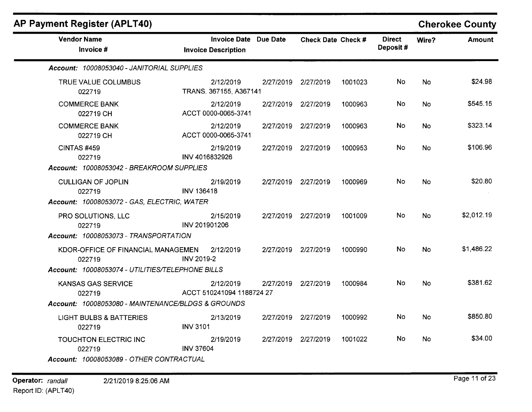| Invoice Date Due Date<br><b>Invoice Description</b><br>Account: 10008053040 - JANITORIAL SUPPLIES<br>2/12/2019<br>TRANS. 367155, A367141<br>2/12/2019<br>ACCT 0000-0065-3741<br>2/12/2019<br>ACCT 0000-0065-3741<br>2/19/2019 |                                                                                                                                                                                                                                                                               | Check Date Check #<br>2/27/2019 2/27/2019<br>2/27/2019 2/27/2019<br>2/27/2019 2/27/2019 | 1001023<br>1000963<br>1000963                                                                                                          | <b>Direct</b><br>Deposit#<br>No<br>No.<br>No. | Wire?<br>No.<br>No<br>No | <b>Amount</b><br>\$24.98<br>\$545.15 |
|-------------------------------------------------------------------------------------------------------------------------------------------------------------------------------------------------------------------------------|-------------------------------------------------------------------------------------------------------------------------------------------------------------------------------------------------------------------------------------------------------------------------------|-----------------------------------------------------------------------------------------|----------------------------------------------------------------------------------------------------------------------------------------|-----------------------------------------------|--------------------------|--------------------------------------|
|                                                                                                                                                                                                                               |                                                                                                                                                                                                                                                                               |                                                                                         |                                                                                                                                        |                                               |                          |                                      |
|                                                                                                                                                                                                                               |                                                                                                                                                                                                                                                                               |                                                                                         |                                                                                                                                        |                                               |                          |                                      |
|                                                                                                                                                                                                                               |                                                                                                                                                                                                                                                                               |                                                                                         |                                                                                                                                        |                                               |                          |                                      |
|                                                                                                                                                                                                                               |                                                                                                                                                                                                                                                                               |                                                                                         |                                                                                                                                        |                                               |                          |                                      |
|                                                                                                                                                                                                                               |                                                                                                                                                                                                                                                                               |                                                                                         |                                                                                                                                        |                                               |                          | \$323.14                             |
|                                                                                                                                                                                                                               |                                                                                                                                                                                                                                                                               | 2/27/2019 2/27/2019                                                                     | 1000953                                                                                                                                | No.                                           | <b>No</b>                | \$106.96                             |
| 2/19/2019<br><b>INV 136418</b>                                                                                                                                                                                                |                                                                                                                                                                                                                                                                               |                                                                                         | 1000969                                                                                                                                | No.                                           | <b>No</b>                | \$20.80                              |
| 2/15/2019<br>INV 201901206<br>Account: 10008053073 - TRANSPORTATION                                                                                                                                                           |                                                                                                                                                                                                                                                                               |                                                                                         | 1001009                                                                                                                                | No.                                           | <b>No</b>                | \$2,012.19                           |
| KDOR-OFFICE OF FINANCIAL MANAGEMEN<br>2/12/2019<br>INV 2019-2                                                                                                                                                                 |                                                                                                                                                                                                                                                                               |                                                                                         | 1000990                                                                                                                                | No.                                           | <b>No</b>                | \$1,486.22                           |
| 2/12/2019                                                                                                                                                                                                                     |                                                                                                                                                                                                                                                                               |                                                                                         | 1000984                                                                                                                                | No.                                           | <b>No</b>                | \$381.62                             |
|                                                                                                                                                                                                                               |                                                                                                                                                                                                                                                                               |                                                                                         |                                                                                                                                        |                                               |                          |                                      |
| <b>INV 3101</b>                                                                                                                                                                                                               |                                                                                                                                                                                                                                                                               |                                                                                         |                                                                                                                                        |                                               |                          | \$850.80                             |
| 2/19/2019<br><b>INV 37604</b>                                                                                                                                                                                                 |                                                                                                                                                                                                                                                                               |                                                                                         | 1001022                                                                                                                                | No.                                           | No.                      | \$34.00                              |
|                                                                                                                                                                                                                               | INV 4016832926<br>Account: 10008053042 - BREAKROOM SUPPLIES<br>Account: 10008053072 - GAS, ELECTRIC, WATER<br>Account: 10008053074 - UTILITIES/TELEPHONE BILLS<br>Account: 10008053080 - MAINTENANCE/BLDGS & GROUNDS<br>2/13/2019<br>Account: 10008053089 - OTHER CONTRACTUAL | ACCT 510241094 1188724 27                                                               | 2/27/2019 2/27/2019<br>2/27/2019 2/27/2019<br>2/27/2019 2/27/2019<br>2/27/2019 2/27/2019<br>2/27/2019 2/27/2019<br>2/27/2019 2/27/2019 | 1000992                                       | No.                      | <b>No</b>                            |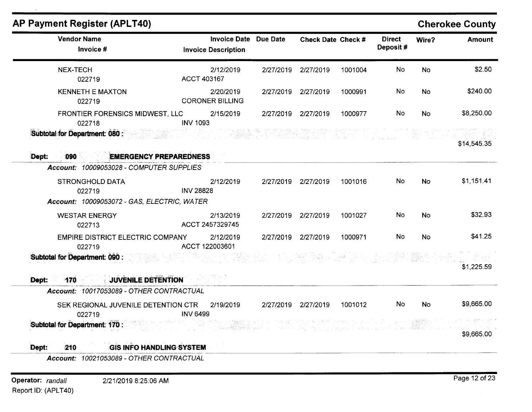| <b>Vendor Name</b><br>Invoice #                                                           | <b>Invoice Date Due Date</b><br><b>Invoice Description</b> |                                                       | <b>Check Date Check #</b> |         | <b>Direct</b><br>Deposit# | Wire?     | <b>Amount</b> |
|-------------------------------------------------------------------------------------------|------------------------------------------------------------|-------------------------------------------------------|---------------------------|---------|---------------------------|-----------|---------------|
| NEX-TECH<br>022719                                                                        | 2/12/2019<br>ACCT 403167                                   |                                                       | 2/27/2019 2/27/2019       | 1001004 | No                        | No        | \$2.50        |
| <b>KENNETH E MAXTON</b><br>022719                                                         | 2/20/2019<br><b>CORONER BILLING</b>                        |                                                       | 2/27/2019 2/27/2019       | 1000991 | No                        | <b>No</b> | \$240.00      |
| FRONTIER FORENSICS MIDWEST, LLC<br>022718                                                 | 2/15/2019<br><b>INV 1093</b>                               |                                                       | 2/27/2019 2/27/2019       | 1000977 | No                        | <b>No</b> | \$8,250.00    |
| <b>Subtotal for Department: 080:</b>                                                      |                                                            |                                                       |                           |         |                           |           | \$14,545.35   |
| <b>EMERGENCY PREPAREDNESS</b><br>Dept:<br>090<br>Account: 10009053028 - COMPUTER SUPPLIES |                                                            |                                                       |                           |         |                           |           |               |
| <b>STRONGHOLD DATA</b><br>022719<br>Account: 10009053072 - GAS, ELECTRIC, WATER           | 2/12/2019<br><b>INV 28828</b>                              |                                                       | 2/27/2019 2/27/2019       | 1001016 | <b>No</b>                 | <b>No</b> | \$1,151.41    |
| <b>WESTAR ENERGY</b><br>022713                                                            | 2/13/2019<br>ACCT 2457329745                               |                                                       | 2/27/2019 2/27/2019       | 1001027 | No                        | <b>No</b> | \$32.93       |
| EMPIRE DISTRICT ELECTRIC COMPANY<br>022719                                                | 2/12/2019<br>ACCT 122003601                                |                                                       | 2/27/2019 2/27/2019       | 1000971 | No                        | <b>No</b> | \$41.25       |
| Subtotal for Department: 090 :                                                            |                                                            |                                                       |                           |         |                           |           | \$1,225.59    |
| <b>JUVENILE DETENTION</b><br>Dept:<br>170                                                 |                                                            |                                                       |                           |         |                           |           |               |
| Account: 10017053089 - OTHER CONTRACTUAL                                                  |                                                            |                                                       |                           |         |                           |           |               |
| SEK REGIONAL JUVENILE DETENTION CTR<br>022719                                             | 2/19/2019<br><b>INV 6499</b>                               |                                                       | 2/27/2019 2/27/2019       | 1001012 | No                        | <b>No</b> | \$9,665.00    |
| <b>Subtotal for Department: 170 : Subtotal for Department: 170 :</b>                      | しょうえ やあなしみ ダーン・データ プラート・デー                                 | (2) 水源螺旋螺旋螺旋体 (2) 网络马尔特拉克斯克里克拉克 (2) 医巴克利氏试验检糖酶 经公司 人名 |                           |         |                           |           | \$9,665.00    |
| <b>GIS INFO HANDLING SYSTEM</b><br>Dept:<br>210                                           |                                                            |                                                       |                           |         |                           |           |               |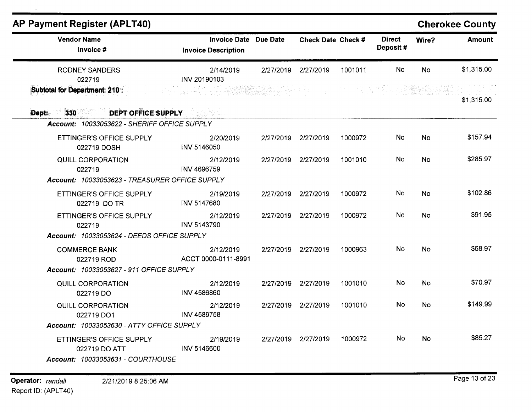| <b>Vendor Name</b>                                                             | <b>Invoice Date Due Date</b>     |           | Check Date Check #  |         | <b>Direct</b> | Wire?     | <b>Amount</b> |
|--------------------------------------------------------------------------------|----------------------------------|-----------|---------------------|---------|---------------|-----------|---------------|
| Invoice #                                                                      | <b>Invoice Description</b>       |           |                     |         | Deposit#      |           |               |
| <b>RODNEY SANDERS</b><br>022719                                                | 2/14/2019<br>INV 20190103        | 2/27/2019 | 2/27/2019           | 1001011 | No            | <b>No</b> | \$1,315.00    |
| <b>Subtotal for Department: 210:</b>                                           |                                  |           |                     |         |               |           | \$1,315.00    |
| 330 DEPT OFFICE SUPPLY<br>Dept:                                                |                                  |           |                     |         |               |           |               |
| Account: 10033053622 - SHERIFF OFFICE SUPPLY                                   |                                  |           |                     |         |               |           |               |
| <b>ETTINGER'S OFFICE SUPPLY</b><br>022719 DOSH                                 | 2/20/2019<br>INV 5146050         |           | 2/27/2019 2/27/2019 | 1000972 | No            | <b>No</b> | \$157.94      |
| QUILL CORPORATION<br>022719                                                    | 2/12/2019<br><b>INV 4696759</b>  |           | 2/27/2019 2/27/2019 | 1001010 | No            | <b>No</b> | \$285.97      |
| Account: 10033053623 - TREASURER OFFICE SUPPLY                                 |                                  |           |                     |         |               |           |               |
| ETTINGER'S OFFICE SUPPLY<br>022719 DO TR                                       | 2/19/2019<br>INV 5147680         |           | 2/27/2019 2/27/2019 | 1000972 | No            | <b>No</b> | \$102.86      |
| ETTINGER'S OFFICE SUPPLY<br>022719                                             | 2/12/2019<br>INV 5143790         |           | 2/27/2019 2/27/2019 | 1000972 | No            | No.       | \$91.95       |
| Account: 10033053624 - DEEDS OFFICE SUPPLY                                     |                                  |           |                     |         |               |           |               |
| <b>COMMERCE BANK</b><br>022719 ROD                                             | 2/12/2019<br>ACCT 0000-0111-8991 |           | 2/27/2019 2/27/2019 | 1000963 | No            | No        | \$68.97       |
| <b>Account: 10033053627 - 911 OFFICE SUPPLY</b>                                |                                  |           |                     |         |               |           |               |
| QUILL CORPORATION<br>022719 DO                                                 | 2/12/2019<br>INV 4586860         |           | 2/27/2019 2/27/2019 | 1001010 | No            | No        | \$70.97       |
| QUILL CORPORATION<br>022719 DO1                                                | 2/12/2019<br>INV 4589758         |           | 2/27/2019 2/27/2019 | 1001010 | <b>No</b>     | No        | \$149.99      |
| Account: 10033053630 - ATTY OFFICE SUPPLY                                      |                                  |           |                     |         |               |           |               |
| ETTINGER'S OFFICE SUPPLY<br>022719 DO ATT<br>Account: 10033053631 - COURTHOUSE | 2/19/2019<br>INV 5146600         |           | 2/27/2019 2/27/2019 | 1000972 | No            | <b>No</b> | \$85.27       |

 $\bar{\mathbf{x}}$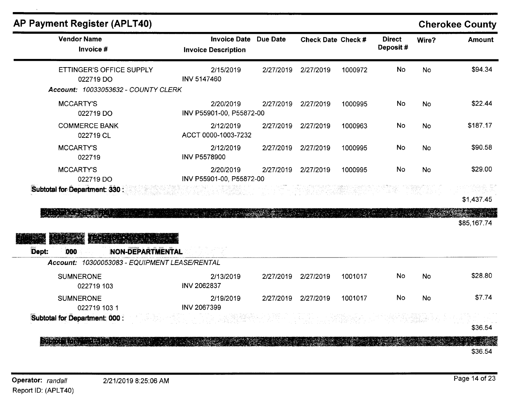# **Cherokee County**

| <b>Vendor Name</b><br>Invoice #                                              | <b>Invoice Date Due Date</b><br><b>Invoice Description</b> |           | <b>Check Date Check #</b> |         | <b>Direct</b><br>Deposit# | Wire?     | <b>Amount</b> |
|------------------------------------------------------------------------------|------------------------------------------------------------|-----------|---------------------------|---------|---------------------------|-----------|---------------|
| ETTINGER'S OFFICE SUPPLY<br>022719 DO<br>Account: 10033053632 - COUNTY CLERK | 2/15/2019<br>INV 5147460                                   | 2/27/2019 | 2/27/2019                 | 1000972 | No                        | <b>No</b> | \$94.34       |
| <b>MCCARTY'S</b><br>022719 DO                                                | 2/20/2019<br>INV P55901-00, P55872-00                      |           | 2/27/2019 2/27/2019       | 1000995 | No                        | <b>No</b> | \$22.44       |
| <b>COMMERCE BANK</b><br>022719 CL                                            | 2/12/2019<br>ACCT 0000-1003-7232                           | 2/27/2019 | 2/27/2019                 | 1000963 | No                        | <b>No</b> | \$187.17      |
| <b>MCCARTY'S</b><br>022719                                                   | 2/12/2019<br><b>INV P5578900</b>                           | 2/27/2019 | 2/27/2019                 | 1000995 | <b>No</b>                 | <b>No</b> | \$90.58       |
| <b>MCCARTY'S</b><br>022719 DO                                                | 2/20/2019<br>INV P55901-00, P55872-00                      | 2/27/2019 | 2/27/2019                 | 1000995 | No                        | No        | \$29.00       |
| Subtotal for Department: 330:                                                |                                                            |           |                           |         |                           |           | \$1,437.45    |
| ESTROPER ET PE                                                               |                                                            |           |                           |         |                           |           | \$85,167.74   |
| <b>ENGELISTE</b><br>Dept:<br><b>NON-DEPARTMENTAL</b><br>000                  |                                                            |           |                           |         |                           |           |               |
| Account: 10300053083 - EQUIPMENT LEASE/RENTAL                                |                                                            |           |                           |         |                           |           |               |
| <b>SUMNERONE</b><br>022719 103                                               | 2/13/2019<br>INV 2062837                                   | 2/27/2019 | 2/27/2019                 | 1001017 | <b>No</b>                 | <b>No</b> | \$28.80       |
| <b>SUMNERONE</b><br>022719 103 1                                             | 2/19/2019<br>INV 2067399                                   | 2/27/2019 | 2/27/2019                 | 1001017 | <b>No</b>                 | <b>No</b> | \$7.74        |
| Subtotal for Department: 000 :                                               |                                                            |           |                           |         |                           |           | \$36.54       |
|                                                                              |                                                            |           |                           |         |                           |           | \$36.54       |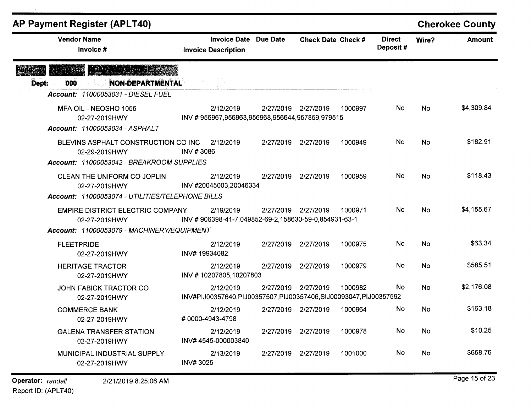| <b>AP Payment Register (APLT40)</b>                                                                    |                                                                                  |                 |                           |         |                           |           | <b>Cherokee County</b> |
|--------------------------------------------------------------------------------------------------------|----------------------------------------------------------------------------------|-----------------|---------------------------|---------|---------------------------|-----------|------------------------|
| <b>Vendor Name</b><br>Invoice #                                                                        | <b>Invoice Date</b><br><b>Invoice Description</b>                                | <b>Due Date</b> | <b>Check Date Check #</b> |         | <b>Direct</b><br>Deposit# | Wire?     | <b>Amount</b>          |
| <u>Mandang</u><br><b>NON-DEPARTMENTAL</b><br>000<br>Dept:                                              |                                                                                  |                 |                           |         |                           |           |                        |
| <b>Account: 11000053031 - DIESEL FUEL</b>                                                              |                                                                                  |                 |                           |         |                           |           |                        |
| MFA OIL - NEOSHO 1055<br>02-27-2019HWY<br>Account: 11000053034 - ASPHALT                               | 2/12/2019<br>INV #956967,956963,956968,956644,957859,979515                      |                 | 2/27/2019 2/27/2019       | 1000997 | No                        | No        | \$4,309.84             |
| BLEVINS ASPHALT CONSTRUCTION CO INC<br>02-29-2019HWY<br>Account: 11000053042 - BREAKROOM SUPPLIES      | 2/12/2019<br>INV #3086                                                           | 2/27/2019       | 2/27/2019                 | 1000949 | No                        | <b>No</b> | \$182.91               |
| CLEAN THE UNIFORM CO JOPLIN<br>02-27-2019HWY<br>Account: 11000053074 - UTILITIES/TELEPHONE BILLS       | 2/12/2019<br>INV #20045003,20046334                                              | 2/27/2019       | 2/27/2019                 | 1000959 | No                        | <b>No</b> | \$118.43               |
| <b>EMPIRE DISTRICT ELECTRIC COMPANY</b><br>02-27-2019HWY<br>Account: 11000053079 - MACHINERY/EQUIPMENT | 2/19/2019<br>INV #906398-41-7,049852-69-2,158630-59-0,854931-63-1                |                 | 2/27/2019 2/27/2019       | 1000971 | No.                       | No        | \$4,155.67             |
| <b>FLEETPRIDE</b><br>02-27-2019HWY                                                                     | 2/12/2019<br>INV#19934082                                                        |                 | 2/27/2019 2/27/2019       | 1000975 | No                        | No        | \$63.34                |
| <b>HERITAGE TRACTOR</b><br>02-27-2019HWY                                                               | 2/12/2019<br>INV #10207805,10207803                                              | 2/27/2019       | 2/27/2019                 | 1000979 | No                        | No        | \$585.51               |
| JOHN FABICK TRACTOR CO<br>02-27-2019HWY                                                                | 2/12/2019<br>INV#PIJ00357640, PIJ00357507, PIJ00357406, SIJ00093047, PIJ00357592 |                 | 2/27/2019 2/27/2019       | 1000982 | No                        | <b>No</b> | \$2,176.08             |
| <b>COMMERCE BANK</b><br>02-27-2019HWY                                                                  | 2/12/2019<br>#0000-4943-4798                                                     |                 | 2/27/2019 2/27/2019       | 1000964 | No                        | No        | \$163.18               |
| <b>GALENA TRANSFER STATION</b><br>02-27-2019HWY                                                        | 2/12/2019<br>INV#4545-000003840                                                  |                 | 2/27/2019 2/27/2019       | 1000978 | No                        | No.       | \$10.25                |
| MUNICIPAL INDUSTRIAL SUPPLY<br>02-27-2019HWY                                                           | 2/13/2019<br><b>INV#3025</b>                                                     |                 | 2/27/2019 2/27/2019       | 1001000 | No                        | No        | \$658.76               |

Operator: randall 2/21/2019 8:25:06 AM

 $\bar{\lambda}$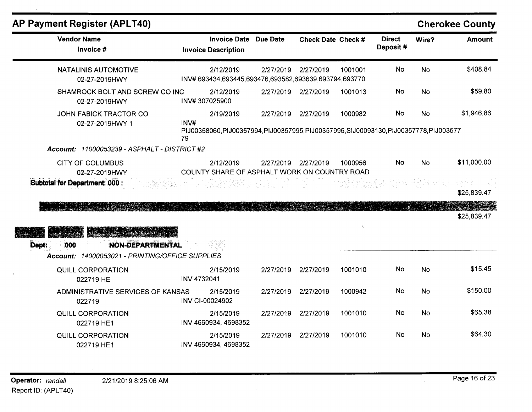| <b>AP Payment Register (APLT40)</b>                                                                  |                            |                                   |                                                                                         |                     |         |                           |           | <b>Cherokee County</b> |
|------------------------------------------------------------------------------------------------------|----------------------------|-----------------------------------|-----------------------------------------------------------------------------------------|---------------------|---------|---------------------------|-----------|------------------------|
| <b>Vendor Name</b><br>Invoice #                                                                      | <b>Invoice Description</b> | <b>Invoice Date</b>               | Due Date                                                                                | Check Date Check #  |         | <b>Direct</b><br>Deposit# | Wire?     | <b>Amount</b>          |
| <b>NATALINIS AUTOMOTIVE</b><br>02-27-2019HWY                                                         |                            | 2/12/2019                         | INV# 693434,693445,693476,693582,693639,693794,693770                                   | 2/27/2019 2/27/2019 | 1001001 | <b>No</b>                 | <b>No</b> | \$408.84               |
| SHAMROCK BOLT AND SCREW CO INC<br>02-27-2019HWY                                                      | INV#307025900              | 2/12/2019                         |                                                                                         | 2/27/2019 2/27/2019 | 1001013 | <b>No</b>                 | <b>No</b> | \$59.80                |
| <b>JOHN FABICK TRACTOR CO</b><br>02-27-2019HWY 1                                                     | INV#<br>79                 | 2/19/2019                         | PIJ00358060, PIJ00357994, PIJ00357995, PIJ00357996, SIJ00093130, PIJ00357778, PIJ003577 | 2/27/2019 2/27/2019 | 1000982 | <b>No</b>                 | <b>No</b> | \$1,946.86             |
| Account: 11000053239 - ASPHALT - DISTRICT #2                                                         |                            |                                   |                                                                                         |                     |         |                           |           |                        |
| <b>CITY OF COLUMBUS</b><br>02-27-2019HWY                                                             |                            | 2/12/2019                         | COUNTY SHARE OF ASPHALT WORK ON COUNTRY ROAD                                            | 2/27/2019 2/27/2019 | 1000956 | <b>No</b>                 | <b>No</b> | \$11,000.00            |
| Subtotal for Department: 000 :<br>tico como a transferencia                                          |                            |                                   |                                                                                         |                     |         |                           |           | \$25,839.47            |
| MELLAR<br><b>NON-DEPARTMENTAL</b><br>Dept:<br>000<br>Account: 14000053021 - PRINTING/OFFICE SUPPLIES |                            |                                   |                                                                                         |                     |         |                           |           | \$25,839.47            |
| QUILL CORPORATION<br>022719 HE                                                                       | INV 4732041                | 2/15/2019                         | 2/27/2019                                                                               | 2/27/2019           | 1001010 | No                        | <b>No</b> | \$15.45                |
| ADMINISTRATIVE SERVICES OF KANSAS<br>022719                                                          | INV CI-00024902            | 2/15/2019                         |                                                                                         | 2/27/2019 2/27/2019 | 1000942 | No.                       | No        | \$150.00               |
| QUILL CORPORATION<br>022719 HE1                                                                      |                            | 2/15/2019<br>INV 4660934, 4698352 |                                                                                         | 2/27/2019 2/27/2019 | 1001010 | <b>No</b>                 | <b>No</b> | \$65.38                |
| <b>QUILL CORPORATION</b><br>022719 HE1                                                               |                            | 2/15/2019<br>INV 4660934, 4698352 | 2/27/2019                                                                               | 2/27/2019           | 1001010 | No.                       | No        | \$64.30                |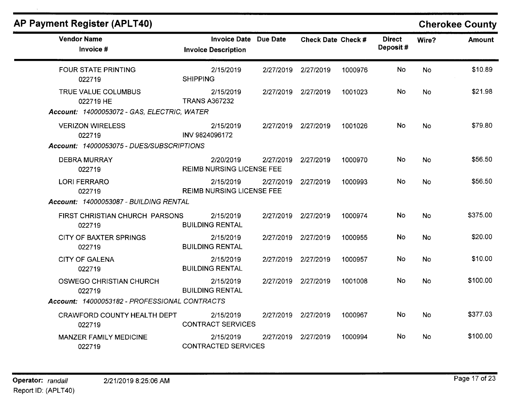|  |  |  | AP Payment Register (APLT40) |
|--|--|--|------------------------------|
|--|--|--|------------------------------|

 $\lambda$ 

# **Cherokee County**

| <b>Vendor Name</b><br>Invoice #                                                 | <b>Invoice Date</b><br><b>Invoice Description</b> | <b>Due Date</b> | <b>Check Date Check #</b> |         | <b>Direct</b><br>Deposit# | Wire?     | <b>Amount</b> |
|---------------------------------------------------------------------------------|---------------------------------------------------|-----------------|---------------------------|---------|---------------------------|-----------|---------------|
| <b>FOUR STATE PRINTING</b><br>022719                                            | 2/15/2019<br><b>SHIPPING</b>                      | 2/27/2019       | 2/27/2019                 | 1000976 | No                        | <b>No</b> | \$10.89       |
| TRUE VALUE COLUMBUS<br>022719 HE<br>Account: 14000053072 - GAS, ELECTRIC, WATER | 2/15/2019<br><b>TRANS A367232</b>                 |                 | 2/27/2019 2/27/2019       | 1001023 | No                        | No.       | \$21.98       |
| <b>VERIZON WIRELESS</b><br>022719                                               | 2/15/2019<br>INV 9824096172                       |                 | 2/27/2019 2/27/2019       | 1001026 | No.                       | <b>No</b> | \$79.80       |
| Account: 14000053075 - DUES/SUBSCRIPTIONS                                       |                                                   |                 |                           |         |                           |           |               |
| <b>DEBRA MURRAY</b><br>022719                                                   | 2/20/2019<br><b>REIMB NURSING LICENSE FEE</b>     | 2/27/2019       | 2/27/2019                 | 1000970 | No.                       | <b>No</b> | \$56.50       |
| <b>LORI FERRARO</b><br>022719                                                   | 2/15/2019<br><b>REIMB NURSING LICENSE FEE</b>     | 2/27/2019       | 2/27/2019                 | 1000993 | No                        | <b>No</b> | \$56.50       |
| Account: 14000053087 - BUILDING RENTAL                                          |                                                   |                 |                           |         |                           |           |               |
| FIRST CHRISTIAN CHURCH PARSONS<br>022719                                        | 2/15/2019<br><b>BUILDING RENTAL</b>               |                 | 2/27/2019 2/27/2019       | 1000974 | No                        | <b>No</b> | \$375.00      |
| <b>CITY OF BAXTER SPRINGS</b><br>022719                                         | 2/15/2019<br><b>BUILDING RENTAL</b>               | 2/27/2019       | 2/27/2019                 | 1000955 | No                        | <b>No</b> | \$20.00       |
| <b>CITY OF GALENA</b><br>022719                                                 | 2/15/2019<br><b>BUILDING RENTAL</b>               |                 | 2/27/2019 2/27/2019       | 1000957 | No                        | <b>No</b> | \$10.00       |
| <b>OSWEGO CHRISTIAN CHURCH</b><br>022719                                        | 2/15/2019<br><b>BUILDING RENTAL</b>               | 2/27/2019       | 2/27/2019                 | 1001008 | No                        | <b>No</b> | \$100.00      |
| Account: 14000053182 - PROFESSIONAL CONTRACTS                                   |                                                   |                 |                           |         |                           |           |               |
| CRAWFORD COUNTY HEALTH DEPT<br>022719                                           | 2/15/2019<br><b>CONTRACT SERVICES</b>             | 2/27/2019       | 2/27/2019                 | 1000967 | No                        | <b>No</b> | \$377.03      |
| <b>MANZER FAMILY MEDICINE</b><br>022719                                         | 2/15/2019<br><b>CONTRACTED SERVICES</b>           | 2/27/2019       | 2/27/2019                 | 1000994 | No                        | No        | \$100.00      |

Page 17 of 23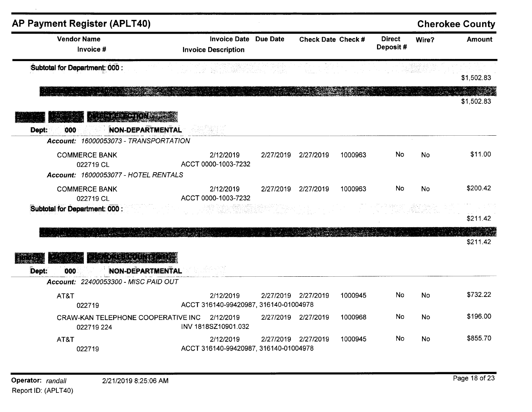| <b>AP Payment Register (APLT40)</b>                                                                         |                                                    |           |                     |         |                           |           | <b>Cherokee County</b> |
|-------------------------------------------------------------------------------------------------------------|----------------------------------------------------|-----------|---------------------|---------|---------------------------|-----------|------------------------|
| <b>Vendor Name</b><br>Invoice #                                                                             | <b>Invoice Date</b><br><b>Invoice Description</b>  | Due Date  | Check Date Check #  |         | <b>Direct</b><br>Deposit# | Wire?     | <b>Amount</b>          |
| Subtotal for Department: 000 :                                                                              | 그는 그대로 그린 그의 바로가 오르는 그 사일입니                        |           |                     |         |                           |           | \$1,502.83             |
|                                                                                                             |                                                    |           |                     |         |                           |           | \$1,502.83             |
| <b>Alterative NORTH</b><br><b>NON-DEPARTMENTAL</b><br>000<br>Dept:<br>Account: 16000053073 - TRANSPORTATION |                                                    |           |                     |         |                           |           |                        |
| <b>COMMERCE BANK</b><br>022719 CL<br>Account: 16000053077 - HOTEL RENTALS                                   | 2/12/2019<br>ACCT 0000-1003-7232                   | 2/27/2019 | 2/27/2019           | 1000963 | No                        | <b>No</b> | \$11.00                |
| <b>COMMERCE BANK</b><br>022719 CL                                                                           | 2/12/2019<br>ACCT 0000-1003-7232                   | 2/27/2019 | 2/27/2019           | 1000963 | No                        | No        | \$200.42               |
| Subtotal for Department: 000 :                                                                              |                                                    |           |                     |         |                           |           | \$211.42               |
| ATA BELLARA DE                                                                                              |                                                    |           |                     |         |                           |           | \$211.42               |
| <b>NON-DEPARTMENTAL</b><br>000<br>Dept:<br>Account: 22400053300 - MISC PAID OUT                             |                                                    |           |                     |         |                           |           |                        |
| AT&T<br>022719                                                                                              | 2/12/2019<br>ACCT 316140-99420987, 316140-01004978 |           | 2/27/2019 2/27/2019 | 1000945 | No                        | <b>No</b> | \$732.22               |
| CRAW-KAN TELEPHONE COOPERATIVE INC<br>022719 224                                                            | 2/12/2019<br>INV 1818SZ10901.032                   |           | 2/27/2019 2/27/2019 | 1000968 | <b>No</b>                 | No        | \$196.00               |
| AT&T<br>022719                                                                                              | 2/12/2019<br>ACCT 316140-99420987, 316140-01004978 |           | 2/27/2019 2/27/2019 | 1000945 | <b>No</b>                 | No        | \$855.70               |

 $\lambda$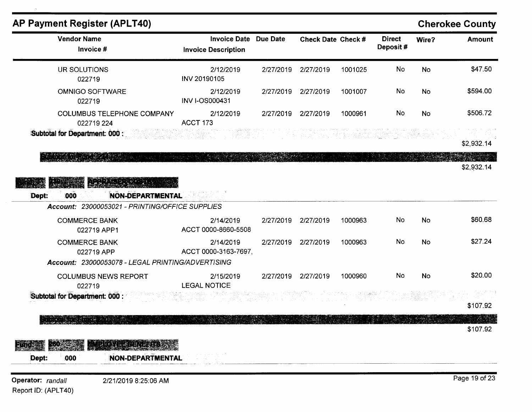| <b>AP Payment Register (APLT40)</b>                                                        |                                                                                                                                                                                                                        |           |                           |         |                           |           | <b>Cherokee County</b> |
|--------------------------------------------------------------------------------------------|------------------------------------------------------------------------------------------------------------------------------------------------------------------------------------------------------------------------|-----------|---------------------------|---------|---------------------------|-----------|------------------------|
| <b>Vendor Name</b><br>Invoice #                                                            | <b>Invoice Date Due Date</b><br><b>Invoice Description</b>                                                                                                                                                             |           | <b>Check Date Check #</b> |         | <b>Direct</b><br>Deposit# | Wire?     | <b>Amount</b>          |
| UR SOLUTIONS<br>022719                                                                     | 2/12/2019<br>INV 20190105                                                                                                                                                                                              | 2/27/2019 | 2/27/2019                 | 1001025 | No                        | No        | \$47.50                |
| <b>OMNIGO SOFTWARE</b><br>022719                                                           | 2/12/2019<br><b>INV I-OS000431</b>                                                                                                                                                                                     | 2/27/2019 | 2/27/2019                 | 1001007 | No                        | No        | \$594.00               |
| <b>COLUMBUS TELEPHONE COMPANY</b><br>022719 224                                            | 2/12/2019<br><b>ACCT 173</b>                                                                                                                                                                                           |           | 2/27/2019 2/27/2019       | 1000961 | No                        | No        | \$506.72               |
| Subtotal for Department: 000 :                                                             |                                                                                                                                                                                                                        |           | <b>图第2部的图</b>             |         |                           |           | \$2,932.14             |
|                                                                                            |                                                                                                                                                                                                                        |           |                           |         |                           |           | \$2,932.14             |
| <b>NON-DEPARTMENTAL</b><br>000<br>Dept:<br>Account: 23000053021 - PRINTING/OFFICE SUPPLIES | an sa tanah dan salah salah salah salah salah salah salah salah salah salah salah salah salah salah.<br>Salah salah salah salah salah salah salah salah salah salah salah salah salah salah salah salah salah salah sa |           |                           |         |                           |           |                        |
| <b>COMMERCE BANK</b>                                                                       | 2/14/2019                                                                                                                                                                                                              | 2/27/2019 | 2/27/2019                 | 1000963 | No                        | <b>No</b> | \$60.68                |
| 022719 APP1                                                                                | ACCT 0000-8660-5508                                                                                                                                                                                                    |           |                           |         | No                        |           | \$27.24                |
| <b>COMMERCE BANK</b><br>022719 APP<br>Account: 23000053078 - LEGAL PRINTING/ADVERTISING    | 2/14/2019<br>ACCT 0000-3163-7697,                                                                                                                                                                                      | 2/27/2019 | 2/27/2019                 | 1000963 |                           | No        |                        |
| <b>COLUMBUS NEWS REPORT</b><br>022719                                                      | 2/15/2019<br><b>LEGAL NOTICE</b>                                                                                                                                                                                       | 2/27/2019 | 2/27/2019                 | 1000960 | No                        | <b>No</b> | \$20.00                |
| Subtotal for Department: 000 :                                                             |                                                                                                                                                                                                                        |           |                           |         |                           |           | \$107.92               |
| 민준이는 이번에 대한 비리가 나서 있다.                                                                     |                                                                                                                                                                                                                        |           |                           |         |                           |           | - A 44<br>\$107.92     |
| Daynan manazir                                                                             |                                                                                                                                                                                                                        |           |                           |         |                           |           |                        |
| Dept:<br><b>NON-DEPARTMENTAL</b><br>000                                                    |                                                                                                                                                                                                                        |           |                           |         |                           |           |                        |
| Operator: randall<br>2/21/2019 8:25:06 AM                                                  |                                                                                                                                                                                                                        |           |                           |         |                           |           | Page 19 of 23          |

Report ID: (APLT40)

 $\Lambda$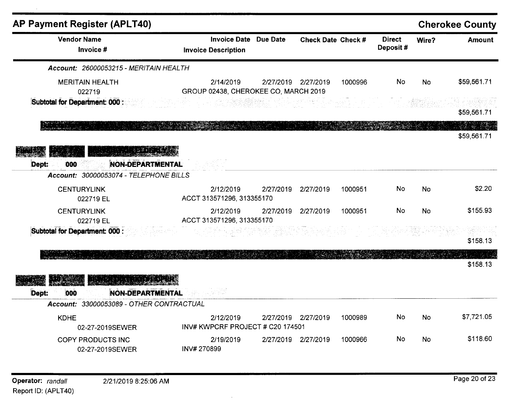| <b>AP Payment Register (APLT40)</b>                                                 |              |                                                   |                 |                                                                                                                                                                                                                                  |         |                           |       | <b>Cherokee County</b> |
|-------------------------------------------------------------------------------------|--------------|---------------------------------------------------|-----------------|----------------------------------------------------------------------------------------------------------------------------------------------------------------------------------------------------------------------------------|---------|---------------------------|-------|------------------------|
| <b>Vendor Name</b><br>Invoice #                                                     |              | <b>Invoice Date</b><br><b>Invoice Description</b> | <b>Due Date</b> | <b>Check Date Check #</b>                                                                                                                                                                                                        |         | <b>Direct</b><br>Deposit# | Wire? | <b>Amount</b>          |
| Account: 26000053215 - MERITAIN HEALTH                                              |              |                                                   |                 |                                                                                                                                                                                                                                  |         |                           |       |                        |
| <b>MERITAIN HEALTH</b><br>022719                                                    |              | 2/14/2019<br>GROUP 02438, CHEROKEE CO, MARCH 2019 |                 | 2/27/2019 2/27/2019                                                                                                                                                                                                              | 1000996 | No                        | No    | \$59,561.71            |
| Subtotal for Department: 000 :                                                      |              |                                                   |                 | in a state of the state of the state of the state of the state of the state of the state of the state of the s<br>The state of the state of the state of the state of the state of the state of the state of the state of the st |         |                           |       | \$59,561.71            |
|                                                                                     |              |                                                   |                 |                                                                                                                                                                                                                                  |         |                           |       | \$59,561.71            |
| <b>AND APPROXIMAGE</b><br>NON-DEPARTMENTAL<br>Dept:<br>000                          |              |                                                   |                 |                                                                                                                                                                                                                                  |         |                           |       |                        |
| Account: 30000053074 - TELEPHONE BILLS                                              |              |                                                   |                 |                                                                                                                                                                                                                                  |         |                           |       |                        |
| <b>CENTURYLINK</b><br>022719 EL                                                     |              | 2/12/2019<br>ACCT 313571296, 313355170            | 2/27/2019       | 2/27/2019                                                                                                                                                                                                                        | 1000951 | No                        | No    | \$2.20                 |
| <b>CENTURYLINK</b><br>022719 EL                                                     |              | 2/12/2019<br>ACCT 313571296, 313355170            | 2/27/2019       | 2/27/2019                                                                                                                                                                                                                        | 1000951 | No                        | No    | \$155.93               |
| Subtotal for Department: 000 :                                                      |              |                                                   |                 |                                                                                                                                                                                                                                  |         |                           |       | \$158.13               |
|                                                                                     |              |                                                   |                 |                                                                                                                                                                                                                                  |         |                           |       | \$158.13               |
|                                                                                     |              |                                                   |                 |                                                                                                                                                                                                                                  |         |                           |       |                        |
| <b>NON-DEPARTMENTAL</b><br>Dept:<br>000<br>Account: 33000053089 - OTHER CONTRACTUAL | 그렇게 그는 대리 부분 |                                                   |                 |                                                                                                                                                                                                                                  |         |                           |       |                        |
|                                                                                     |              |                                                   |                 | 2/27/2019 2/27/2019                                                                                                                                                                                                              |         | No                        |       | \$7,721.05             |
| <b>KDHE</b><br>02-27-2019SEWER                                                      |              | 2/12/2019<br>INV# KWPCRF PROJECT # C20 174501     |                 |                                                                                                                                                                                                                                  | 1000989 |                           | No    |                        |
| COPY PRODUCTS INC<br>02-27-2019SEWER                                                | INV#270899   | 2/19/2019                                         |                 | 2/27/2019 2/27/2019                                                                                                                                                                                                              | 1000966 | No                        | No    | \$118.60               |

 $\overline{\phantom{a}}$ 

 $\sim$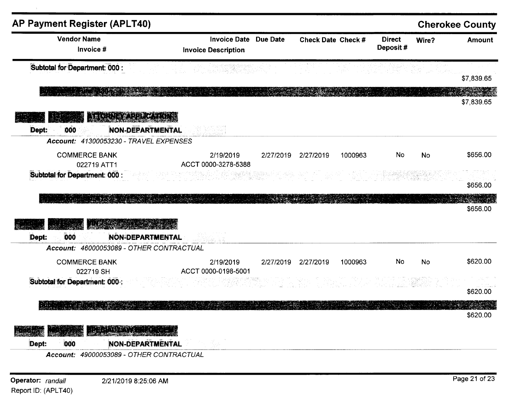| <b>AP Payment Register (APLT40)</b>      |                                                                                                                                                               |                                           |                           |         |                           |           | <b>Cherokee County</b>           |
|------------------------------------------|---------------------------------------------------------------------------------------------------------------------------------------------------------------|-------------------------------------------|---------------------------|---------|---------------------------|-----------|----------------------------------|
| <b>Vendor Name</b><br>Invoice #          | <b>Invoice Date Due Date</b><br><b>Invoice Description</b>                                                                                                    |                                           | <b>Check Date Check #</b> |         | <b>Direct</b><br>Deposit# | Wire?     | <b>Amount</b>                    |
| Subtotal for Department: 000 :           | a na matanggunian na Kabupatèn Kaléndhengan<br>Kabupatèn Kabupatèn Kaléndhengan Kabupatèn Kaléndhengan Kabupatèn Kabupatèn Kabupatèn Kabupatèn Kabupatèn Kabu |                                           |                           |         |                           |           | \$7,839.65                       |
|                                          |                                                                                                                                                               |                                           |                           |         |                           |           | \$7,839.65                       |
| <b>BE GRIEVADE GATGER</b>                |                                                                                                                                                               |                                           |                           |         |                           |           |                                  |
| <b>NON-DEPARTMENTAL</b><br>Dept:<br>000  |                                                                                                                                                               |                                           |                           |         |                           |           |                                  |
| Account: 41300053230 - TRAVEL EXPENSES   |                                                                                                                                                               |                                           |                           |         |                           |           |                                  |
| <b>COMMERCE BANK</b><br>022719 ATT1      | 2/19/2019<br>ACCT 0000-3278-5388                                                                                                                              |                                           | 2/27/2019 2/27/2019       | 1000963 | No                        | No        | \$656.00                         |
| Subtotal for Department: 000 :           |                                                                                                                                                               |                                           |                           |         |                           |           |                                  |
|                                          |                                                                                                                                                               |                                           |                           |         |                           |           |                                  |
|                                          |                                                                                                                                                               |                                           |                           |         |                           |           |                                  |
| $\frac{1}{2}$                            |                                                                                                                                                               |                                           |                           |         |                           |           |                                  |
|                                          |                                                                                                                                                               |                                           |                           |         |                           |           |                                  |
|                                          |                                                                                                                                                               |                                           |                           |         |                           |           |                                  |
| <b>NON-DEPARTMENTAL</b><br>000<br>Dept:  |                                                                                                                                                               |                                           |                           |         |                           |           |                                  |
| Account: 46000053089 - OTHER CONTRACTUAL |                                                                                                                                                               |                                           |                           |         |                           |           | \$656.00<br>\$656.00             |
| <b>COMMERCE BANK</b>                     | 2/19/2019                                                                                                                                                     |                                           | 2/27/2019 2/27/2019       | 1000963 | No                        | <b>No</b> |                                  |
| 022719 SH                                | ACCT 0000-0198-5001                                                                                                                                           |                                           |                           |         |                           |           |                                  |
| Subtotal for Department: 000 :           |                                                                                                                                                               | 한 호텔 발표 : 100%<br>기타 : 100% : 100% : 100% |                           |         |                           |           |                                  |
|                                          |                                                                                                                                                               |                                           |                           |         |                           |           |                                  |
|                                          |                                                                                                                                                               |                                           |                           |         |                           |           | \$620.00<br>\$620.00<br>\$620.00 |
| THE RIVER                                |                                                                                                                                                               |                                           |                           |         |                           |           |                                  |

Operator: randall Report ID: (APLT40)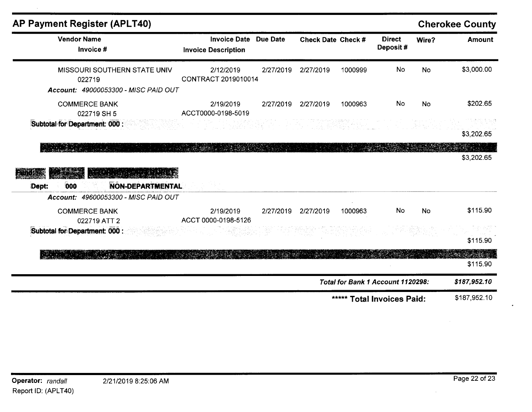| <b>AP Payment Register (APLT40)</b>                                             |                                                   |                 |                           |         |                                   |           | <b>Cherokee County</b> |
|---------------------------------------------------------------------------------|---------------------------------------------------|-----------------|---------------------------|---------|-----------------------------------|-----------|------------------------|
| <b>Vendor Name</b><br>Invoice #                                                 | <b>Invoice Date</b><br><b>Invoice Description</b> | <b>Due Date</b> | <b>Check Date Check #</b> |         | <b>Direct</b><br>Deposit#         | Wire?     | <b>Amount</b>          |
| MISSOURI SOUTHERN STATE UNIV<br>022719<br>Account: 49000053300 - MISC PAID OUT  | 2/12/2019<br>CONTRACT 2019010014                  | 2/27/2019       | 2/27/2019                 | 1000999 | <b>No</b>                         | <b>No</b> | \$3,000.00             |
| <b>COMMERCE BANK</b><br>022719 SH 5                                             | 2/19/2019<br>ACCT0000-0198-5019                   | 2/27/2019       | 2/27/2019                 | 1000963 | No                                | <b>No</b> | \$202.65               |
| Subtotal for Department: 000 :                                                  |                                                   |                 |                           |         |                                   |           | 나가 전에 따른<br>\$3,202.65 |
| 000<br><b>NON-DEPARTMENTAL</b><br>Dept:<br>Account: 49600053300 - MISC PAID OUT |                                                   |                 |                           |         |                                   |           | \$3,202.65             |
| <b>COMMERCE BANK</b><br>022719 ATT 2                                            | 2/19/2019<br>ACCT 0000-0198-5126                  | 2/27/2019       | 2/27/2019                 | 1000963 | <b>No</b>                         | <b>No</b> | \$115.90               |
| Subtotal for Department: 000 :                                                  |                                                   |                 |                           |         |                                   |           | \$115.90               |
|                                                                                 |                                                   |                 |                           |         |                                   |           | \$115.90               |
|                                                                                 |                                                   |                 |                           |         | Total for Bank 1 Account 1120298: |           | \$187,952.10           |
|                                                                                 |                                                   |                 |                           |         | ***** Total Invoices Paid:        |           | \$187,952.10           |